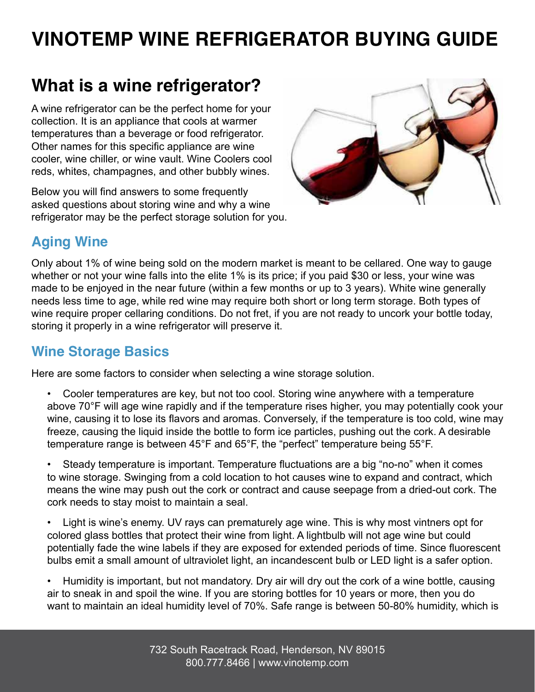# **VINOTEMP WINE REFRIGERATOR BUYING GUIDE**

# **What is a wine refrigerator?**

A wine refrigerator can be the perfect home for your collection. It is an appliance that cools at warmer temperatures than a beverage or food refrigerator. Other names for this specific appliance are wine cooler, wine chiller, or wine vault. Wine Coolers cool reds, whites, champagnes, and other bubbly wines.

Below you will find answers to some frequently asked questions about storing wine and why a wine refrigerator may be the perfect storage solution for you.



# **Aging Wine**

Only about 1% of wine being sold on the modern market is meant to be cellared. One way to gauge whether or not your wine falls into the elite 1% is its price; if you paid \$30 or less, your wine was made to be enjoyed in the near future (within a few months or up to 3 years). White wine generally needs less time to age, while red wine may require both short or long term storage. Both types of wine require proper cellaring conditions. Do not fret, if you are not ready to uncork your bottle today, storing it properly in a wine refrigerator will preserve it.

# **Wine Storage Basics**

Here are some factors to consider when selecting a wine storage solution.

• Cooler temperatures are key, but not too cool. Storing wine anywhere with a temperature above 70°F will age wine rapidly and if the temperature rises higher, you may potentially cook your wine, causing it to lose its flavors and aromas. Conversely, if the temperature is too cold, wine may freeze, causing the liquid inside the bottle to form ice particles, pushing out the cork. A desirable temperature range is between 45°F and 65°F, the "perfect" temperature being 55°F.

• Steady temperature is important. Temperature fluctuations are a big "no-no" when it comes to wine storage. Swinging from a cold location to hot causes wine to expand and contract, which means the wine may push out the cork or contract and cause seepage from a dried-out cork. The cork needs to stay moist to maintain a seal.

• Light is wine's enemy. UV rays can prematurely age wine. This is why most vintners opt for colored glass bottles that protect their wine from light. A lightbulb will not age wine but could potentially fade the wine labels if they are exposed for extended periods of time. Since fluorescent bulbs emit a small amount of ultraviolet light, an incandescent bulb or LED light is a safer option.

• Humidity is important, but not mandatory. Dry air will dry out the cork of a wine bottle, causing air to sneak in and spoil the wine. If you are storing bottles for 10 years or more, then you do want to maintain an ideal humidity level of 70%. Safe range is between 50-80% humidity, which is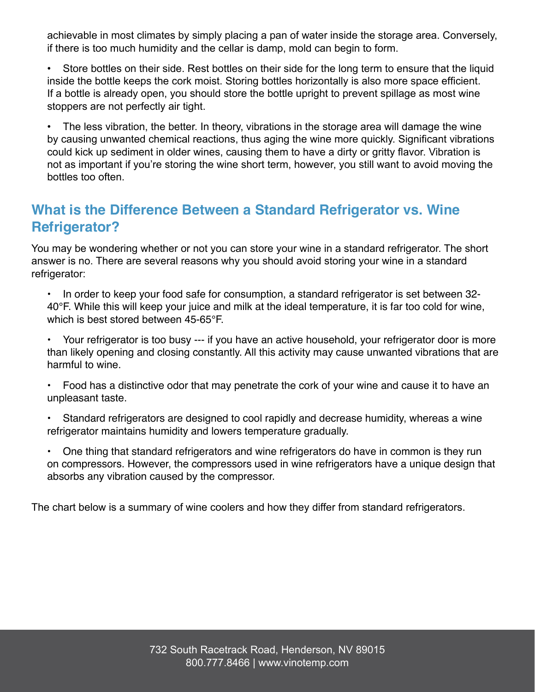achievable in most climates by simply placing a pan of water inside the storage area. Conversely, if there is too much humidity and the cellar is damp, mold can begin to form.

• Store bottles on their side. Rest bottles on their side for the long term to ensure that the liquid inside the bottle keeps the cork moist. Storing bottles horizontally is also more space efficient. If a bottle is already open, you should store the bottle upright to prevent spillage as most wine stoppers are not perfectly air tight.

• The less vibration, the better. In theory, vibrations in the storage area will damage the wine by causing unwanted chemical reactions, thus aging the wine more quickly. Significant vibrations could kick up sediment in older wines, causing them to have a dirty or gritty flavor. Vibration is not as important if you're storing the wine short term, however, you still want to avoid moving the bottles too often.

### **What is the Difference Between a Standard Refrigerator vs. Wine Refrigerator?**

You may be wondering whether or not you can store your wine in a standard refrigerator. The short answer is no. There are several reasons why you should avoid storing your wine in a standard refrigerator:

• In order to keep your food safe for consumption, a standard refrigerator is set between 32 40°F. While this will keep your juice and milk at the ideal temperature, it is far too cold for wine, which is best stored between 45-65°F.

• Your refrigerator is too busy --- if you have an active household, your refrigerator door is more than likely opening and closing constantly. All this activity may cause unwanted vibrations that are harmful to wine.

• Food has a distinctive odor that may penetrate the cork of your wine and cause it to have an unpleasant taste.

- Standard refrigerators are designed to cool rapidly and decrease humidity, whereas a wine refrigerator maintains humidity and lowers temperature gradually.
- One thing that standard refrigerators and wine refrigerators do have in common is they run on compressors. However, the compressors used in wine refrigerators have a unique design that absorbs any vibration caused by the compressor.

The chart below is a summary of wine coolers and how they differ from standard refrigerators.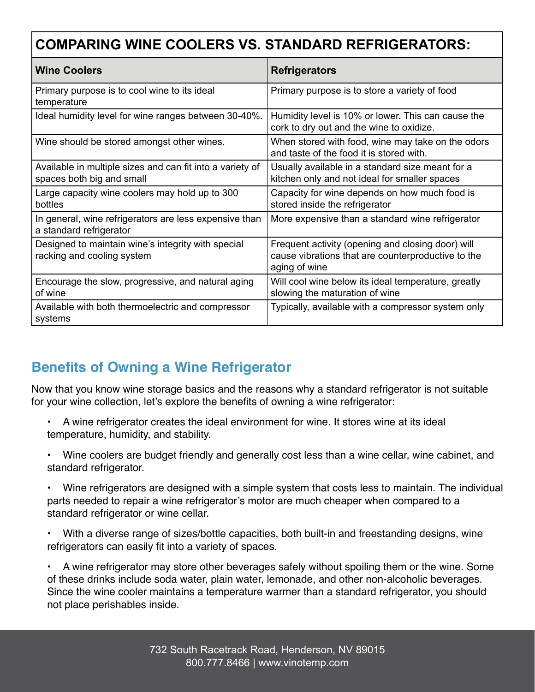# **COMPARING WINE COOLERS VS. STANDARD REFRIGERATORS:**

| <b>Wine Coolers</b>                                                                    | <b>Refrigerators</b>                                                                                                     |
|----------------------------------------------------------------------------------------|--------------------------------------------------------------------------------------------------------------------------|
| Primary purpose is to cool wine to its ideal<br>temperature                            | Primary purpose is to store a variety of food                                                                            |
| Ideal humidity level for wine ranges between 30-40%.                                   | Humidity level is 10% or lower. This can cause the<br>cork to dry out and the wine to oxidize.                           |
| Wine should be stored amongst other wines.                                             | When stored with food, wine may take on the odors<br>and taste of the food it is stored with.                            |
| Available in multiple sizes and can fit into a variety of<br>spaces both big and small | Usually available in a standard size meant for a<br>kitchen only and not ideal for smaller spaces                        |
| Large capacity wine coolers may hold up to 300<br>bottles                              | Capacity for wine depends on how much food is<br>stored inside the refrigerator                                          |
| In general, wine refrigerators are less expensive than<br>a standard refrigerator      | More expensive than a standard wine refrigerator                                                                         |
| Designed to maintain wine's integrity with special<br>racking and cooling system       | Frequent activity (opening and closing door) will<br>cause vibrations that are counterproductive to the<br>aging of wine |
| Encourage the slow, progressive, and natural aging<br>of wine                          | Will cool wine below its ideal temperature, greatly<br>slowing the maturation of wine                                    |
| Available with both thermoelectric and compressor<br>systems                           | Typically, available with a compressor system only                                                                       |

# **Benefits of Owning a Wine Refrigerator**

Now that you know wine storage basics and the reasons why a standard refrigerator is not suitable for your wine collection, let's explore the benefits of owning a wine refrigerator:

- A wine refrigerator creates the ideal environment for wine. It stores wine at its ideal temperature, humidity, and stability.
- Wine coolers are budget friendly and generally cost less than a wine cellar, wine cabinet, and standard refrigerator.
- Wine refrigerators are designed with a simple system that costs less to maintain. The individual parts needed to repair a wine refrigerator's motor are much cheaper when compared to a standard refrigerator or wine cellar.
- With a diverse range of sizes/bottle capacities, both built-in and freestanding designs, wine refrigerators can easily fit into a variety of spaces.

• A wine refrigerator may store other beverages safely without spoiling them or the wine. Some of these drinks include soda water, plain water, lemonade, and other non-alcoholic beverages. Since the wine cooler maintains a temperature warmer than a standard refrigerator, you should not place perishables inside.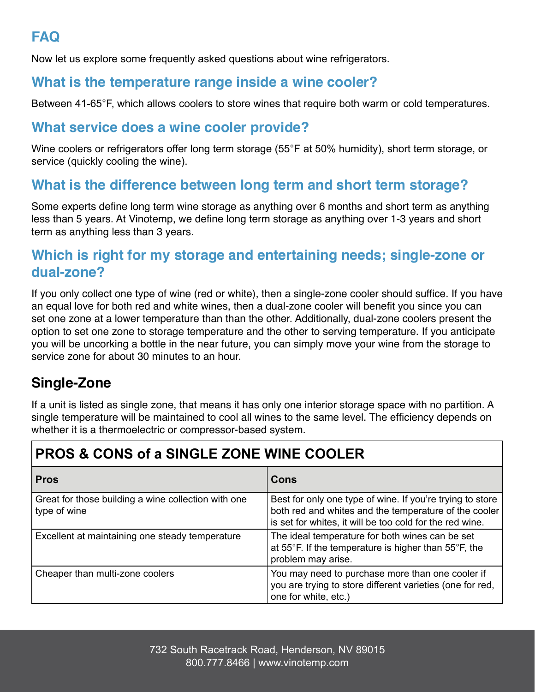# **FAQ**

Now let us explore some frequently asked questions about wine refrigerators.

### **What is the temperature range inside a wine cooler?**

Between 41-65°F, which allows coolers to store wines that require both warm or cold temperatures.

#### **What service does a wine cooler provide?**

Wine coolers or refrigerators offer long term storage (55°F at 50% humidity), short term storage, or service (quickly cooling the wine).

### **What is the difference between long term and short term storage?**

Some experts define long term wine storage as anything over 6 months and short term as anything less than 5 years. At Vinotemp, we define long term storage as anything over 1-3 years and short term as anything less than 3 years.

#### **Which is right for my storage and entertaining needs; single-zone or dual-zone?**

If you only collect one type of wine (red or white), then a single-zone cooler should suffice. If you have an equal love for both red and white wines, then a dual-zone cooler will benefit you since you can set one zone at a lower temperature than than the other. Additionally, dual-zone coolers present the option to set one zone to storage temperature and the other to serving temperature. If you anticipate you will be uncorking a bottle in the near future, you can simply move your wine from the storage to service zone for about 30 minutes to an hour.

# **Single-Zone**

If a unit is listed as single zone, that means it has only one interior storage space with no partition. A single temperature will be maintained to cool all wines to the same level. The efficiency depends on whether it is a thermoelectric or compressor-based system.

# **PROS & CONS of a SINGLE ZONE WINE COOLER**

| <b>Pros</b>                                                         | Cons                                                                                                                                                                           |
|---------------------------------------------------------------------|--------------------------------------------------------------------------------------------------------------------------------------------------------------------------------|
| Great for those building a wine collection with one<br>type of wine | Best for only one type of wine. If you're trying to store<br>both red and whites and the temperature of the cooler<br>is set for whites, it will be too cold for the red wine. |
| Excellent at maintaining one steady temperature                     | The ideal temperature for both wines can be set<br>at 55°F. If the temperature is higher than 55°F, the<br>problem may arise.                                                  |
| Cheaper than multi-zone coolers                                     | You may need to purchase more than one cooler if<br>you are trying to store different varieties (one for red,<br>one for white, etc.)                                          |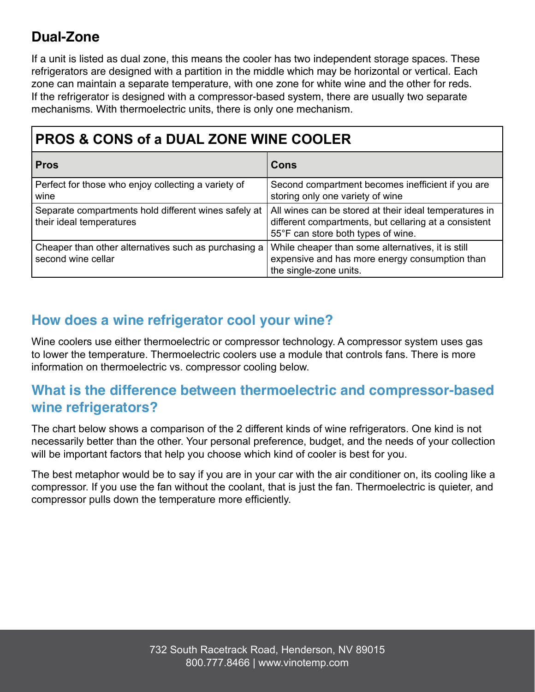# **Dual-Zone**

If a unit is listed as dual zone, this means the cooler has two independent storage spaces. These refrigerators are designed with a partition in the middle which may be horizontal or vertical. Each zone can maintain a separate temperature, with one zone for white wine and the other for reds. If the refrigerator is designed with a compressor-based system, there are usually two separate mechanisms. With thermoelectric units, there is only one mechanism.

| <b>PROS &amp; CONS of a DUAL ZONE WINE COOLER</b>                                |                                                                                                                                                       |  |  |
|----------------------------------------------------------------------------------|-------------------------------------------------------------------------------------------------------------------------------------------------------|--|--|
| <b>Pros</b>                                                                      | Cons                                                                                                                                                  |  |  |
| Perfect for those who enjoy collecting a variety of<br>wine                      | Second compartment becomes inefficient if you are<br>storing only one variety of wine                                                                 |  |  |
| Separate compartments hold different wines safely at<br>their ideal temperatures | All wines can be stored at their ideal temperatures in<br>different compartments, but cellaring at a consistent<br>55°F can store both types of wine. |  |  |
| Cheaper than other alternatives such as purchasing a<br>second wine cellar       | While cheaper than some alternatives, it is still<br>expensive and has more energy consumption than<br>the single-zone units.                         |  |  |

# **How does a wine refrigerator cool your wine?**

Wine coolers use either thermoelectric or compressor technology. A compressor system uses gas to lower the temperature. Thermoelectric coolers use a module that controls fans. There is more information on thermoelectric vs. compressor cooling below.

# **What is the difference between thermoelectric and compressor-based wine refrigerators?**

The chart below shows a comparison of the 2 different kinds of wine refrigerators. One kind is not necessarily better than the other. Your personal preference, budget, and the needs of your collection will be important factors that help you choose which kind of cooler is best for you.

The best metaphor would be to say if you are in your car with the air conditioner on, its cooling like a compressor. If you use the fan without the coolant, that is just the fan. Thermoelectric is quieter, and compressor pulls down the temperature more efficiently.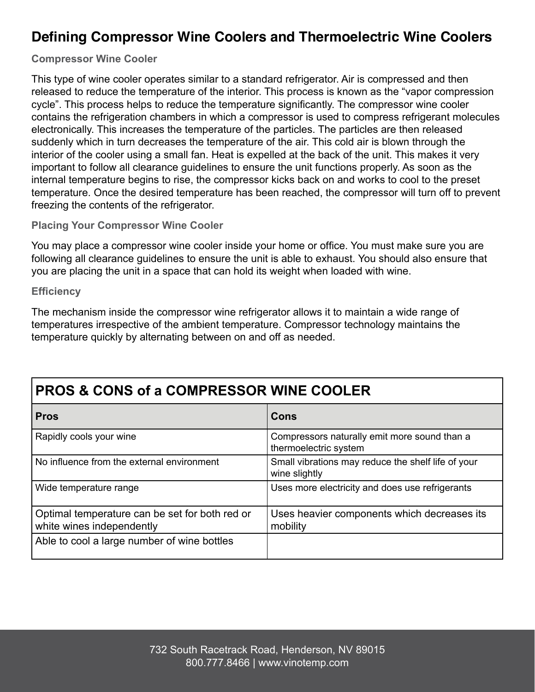# **Defining Compressor Wine Coolers and Thermoelectric Wine Coolers**

#### **Compressor Wine Cooler**

This type of wine cooler operates similar to a standard refrigerator. Air is compressed and then released to reduce the temperature of the interior. This process is known as the "vapor compression cycle". This process helps to reduce the temperature significantly. The compressor wine cooler contains the refrigeration chambers in which a compressor is used to compress refrigerant molecules electronically. This increases the temperature of the particles. The particles are then released suddenly which in turn decreases the temperature of the air. This cold air is blown through the interior of the cooler using a small fan. Heat is expelled at the back of the unit. This makes it very important to follow all clearance guidelines to ensure the unit functions properly. As soon as the internal temperature begins to rise, the compressor kicks back on and works to cool to the preset temperature. Once the desired temperature has been reached, the compressor will turn off to prevent freezing the contents of the refrigerator.

#### **Placing Your Compressor Wine Cooler**

You may place a compressor wine cooler inside your home or office. You must make sure you are following all clearance guidelines to ensure the unit is able to exhaust. You should also ensure that you are placing the unit in a space that can hold its weight when loaded with wine.

**Efficiency**

The mechanism inside the compressor wine refrigerator allows it to maintain a wide range of temperatures irrespective of the ambient temperature. Compressor technology maintains the temperature quickly by alternating between on and off as needed.

# **PROS & CONS of a COMPRESSOR WINE COOLER Pros Cons**

| Rapidly cools your wine                                                     | Compressors naturally emit more sound than a<br>thermoelectric system |
|-----------------------------------------------------------------------------|-----------------------------------------------------------------------|
| No influence from the external environment                                  | Small vibrations may reduce the shelf life of your<br>wine slightly   |
| Wide temperature range                                                      | Uses more electricity and does use refrigerants                       |
| Optimal temperature can be set for both red or<br>white wines independently | Uses heavier components which decreases its<br>mobility               |
| Able to cool a large number of wine bottles                                 |                                                                       |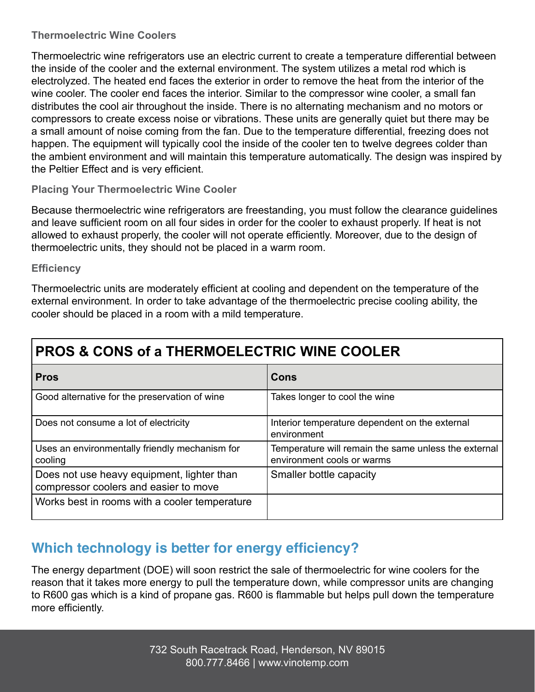#### **Thermoelectric Wine Coolers**

Thermoelectric wine refrigerators use an electric current to create a temperature differential between the inside of the cooler and the external environment. The system utilizes a metal rod which is electrolyzed. The heated end faces the exterior in order to remove the heat from the interior of the wine cooler. The cooler end faces the interior. Similar to the compressor wine cooler, a small fan distributes the cool air throughout the inside. There is no alternating mechanism and no motors or compressors to create excess noise or vibrations. These units are generally quiet but there may be a small amount of noise coming from the fan. Due to the temperature differential, freezing does not happen. The equipment will typically cool the inside of the cooler ten to twelve degrees colder than the ambient environment and will maintain this temperature automatically. The design was inspired by the Peltier Effect and is very efficient.

#### **Placing Your Thermoelectric Wine Cooler**

Because thermoelectric wine refrigerators are freestanding, you must follow the clearance guidelines and leave sufficient room on all four sides in order for the cooler to exhaust properly. If heat is not allowed to exhaust properly, the cooler will not operate efficiently. Moreover, due to the design of thermoelectric units, they should not be placed in a warm room.

#### **Efficiency**

Thermoelectric units are moderately efficient at cooling and dependent on the temperature of the external environment. In order to take advantage of the thermoelectric precise cooling ability, the cooler should be placed in a room with a mild temperature.

| <b>Pros</b>                                                                         | Cons                                                                               |
|-------------------------------------------------------------------------------------|------------------------------------------------------------------------------------|
| Good alternative for the preservation of wine                                       | Takes longer to cool the wine                                                      |
| Does not consume a lot of electricity                                               | Interior temperature dependent on the external<br>environment                      |
| Uses an environmentally friendly mechanism for<br>cooling                           | Temperature will remain the same unless the external<br>environment cools or warms |
| Does not use heavy equipment, lighter than<br>compressor coolers and easier to move | Smaller bottle capacity                                                            |
| Works best in rooms with a cooler temperature                                       |                                                                                    |

# **Which technology is better for energy efficiency?**

The energy department (DOE) will soon restrict the sale of thermoelectric for wine coolers for the reason that it takes more energy to pull the temperature down, while compressor units are changing to R600 gas which is a kind of propane gas. R600 is flammable but helps pull down the temperature more efficiently.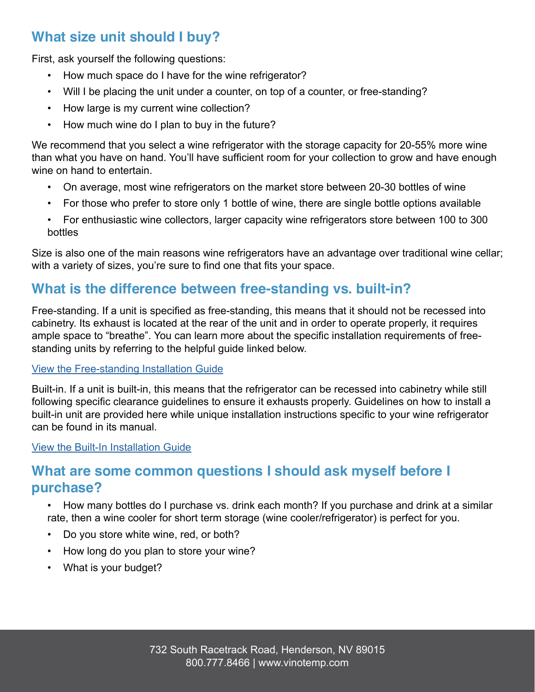# **What size unit should I buy?**

First, ask yourself the following questions:

- How much space do I have for the wine refrigerator?
- Will I be placing the unit under a counter, on top of a counter, or free-standing?
- How large is my current wine collection?
- How much wine do I plan to buy in the future?

We recommend that you select a wine refrigerator with the storage capacity for 20-55% more wine than what you have on hand. You'll have sufficient room for your collection to grow and have enough wine on hand to entertain.

- On average, most wine refrigerators on the market store between 20-30 bottles of wine
- For those who prefer to store only 1 bottle of wine, there are single bottle options available
- For enthusiastic wine collectors, larger capacity wine refrigerators store between 100 to 300 bottles

Size is also one of the main reasons wine refrigerators have an advantage over traditional wine cellar; with a variety of sizes, you're sure to find one that fits your space.

#### **What is the difference between free-standing vs. built-in?**

Free-standing. If a unit is specified as free-standing, this means that it should not be recessed into cabinetry. Its exhaust is located at the rear of the unit and in order to operate properly, it requires ample space to "breathe". You can learn more about the specific installation requirements of freestanding units by referring to the helpful guide linked below.

#### View the Free-standing Installation Guide

Built-in. If a unit is built-in, this means that the refrigerator can be recessed into cabinetry while still following specific clearance guidelines to ensure it exhausts properly. Guidelines on how to install a built-in unit are provided here while unique installation instructions specific to your wine refrigerator can be found in its manual.

View the Built-In Installation Guide

#### **What are some common questions I should ask myself before I purchase?**

- How many bottles do I purchase vs. drink each month? If you purchase and drink at a similar rate, then a wine cooler for short term storage (wine cooler/refrigerator) is perfect for you.
- Do you store white wine, red, or both?
- How long do you plan to store your wine?
- What is your budget?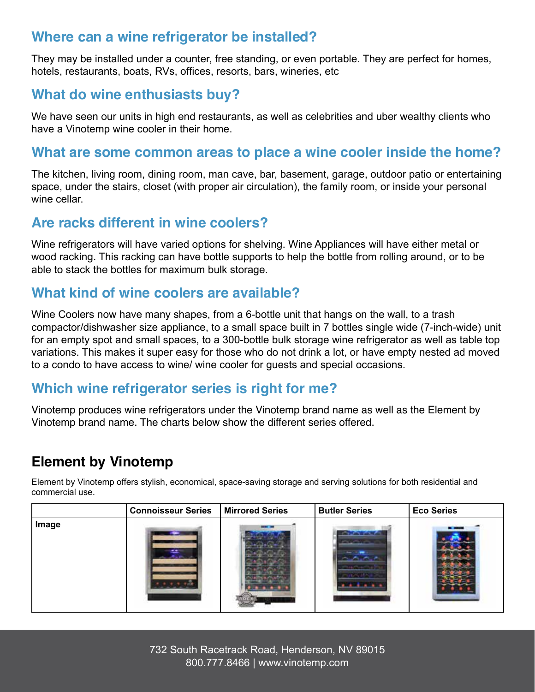### **Where can a wine refrigerator be installed?**

They may be installed under a counter, free standing, or even portable. They are perfect for homes, hotels, restaurants, boats, RVs, offices, resorts, bars, wineries, etc

### **What do wine enthusiasts buy?**

We have seen our units in high end restaurants, as well as celebrities and uber wealthy clients who have a Vinotemp wine cooler in their home.

#### **What are some common areas to place a wine cooler inside the home?**

The kitchen, living room, dining room, man cave, bar, basement, garage, outdoor patio or entertaining space, under the stairs, closet (with proper air circulation), the family room, or inside your personal wine cellar.

#### **Are racks different in wine coolers?**

Wine refrigerators will have varied options for shelving. Wine Appliances will have either metal or wood racking. This racking can have bottle supports to help the bottle from rolling around, or to be able to stack the bottles for maximum bulk storage.

#### **What kind of wine coolers are available?**

Wine Coolers now have many shapes, from a 6-bottle unit that hangs on the wall, to a trash compactor/dishwasher size appliance, to a small space built in 7 bottles single wide (7-inch-wide) unit for an empty spot and small spaces, to a 300-bottle bulk storage wine refrigerator as well as table top variations. This makes it super easy for those who do not drink a lot, or have empty nested ad moved to a condo to have access to wine/ wine cooler for guests and special occasions.

#### **Which wine refrigerator series is right for me?**

Vinotemp produces wine refrigerators under the Vinotemp brand name as well as the Element by Vinotemp brand name. The charts below show the different series offered.

# **Element by Vinotemp**

Element by Vinotemp offers stylish, economical, space-saving storage and serving solutions for both residential and commercial use.

|       | <b>Connoisseur Series</b> | <b>Mirrored Series</b> | <b>Butler Series</b>                            | <b>Eco Series</b> |
|-------|---------------------------|------------------------|-------------------------------------------------|-------------------|
| Image |                           |                        | <b>CONTRACTOR</b><br>The company of the company |                   |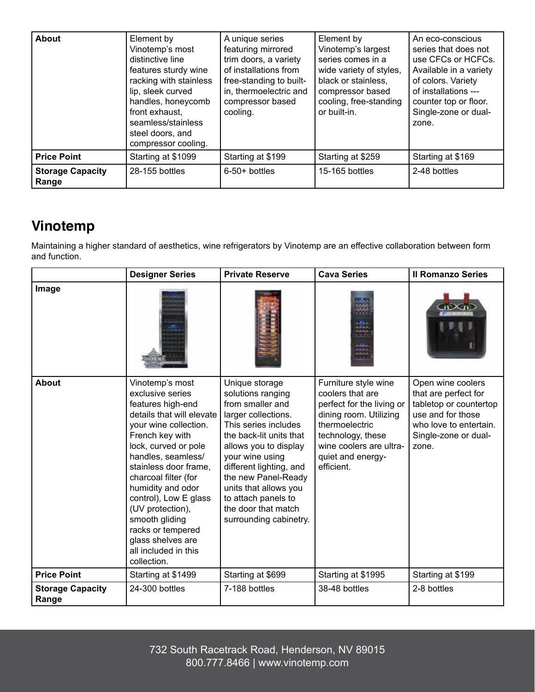| <b>About</b>                     | Element by<br>Vinotemp's most<br>distinctive line<br>features sturdy wine<br>racking with stainless<br>lip, sleek curved<br>handles, honeycomb<br>front exhaust,<br>seamless/stainless<br>steel doors, and<br>compressor cooling. | A unique series<br>featuring mirrored<br>trim doors, a variety<br>of installations from<br>free-standing to built-<br>in, thermoelectric and<br>compressor based<br>cooling. | Element by<br>Vinotemp's largest<br>series comes in a<br>wide variety of styles,<br>black or stainless,<br>compressor based<br>cooling, free-standing<br>or built-in. | An eco-conscious<br>series that does not<br>use CFCs or HCFCs.<br>Available in a variety<br>of colors. Variety<br>of installations ---<br>counter top or floor.<br>Single-zone or dual-<br>zone. |
|----------------------------------|-----------------------------------------------------------------------------------------------------------------------------------------------------------------------------------------------------------------------------------|------------------------------------------------------------------------------------------------------------------------------------------------------------------------------|-----------------------------------------------------------------------------------------------------------------------------------------------------------------------|--------------------------------------------------------------------------------------------------------------------------------------------------------------------------------------------------|
| <b>Price Point</b>               | Starting at \$1099                                                                                                                                                                                                                | Starting at \$199                                                                                                                                                            | Starting at \$259                                                                                                                                                     | Starting at \$169                                                                                                                                                                                |
| <b>Storage Capacity</b><br>Range | 28-155 bottles                                                                                                                                                                                                                    | $6-50+$ bottles                                                                                                                                                              | 15-165 bottles                                                                                                                                                        | 2-48 bottles                                                                                                                                                                                     |

# **Vinotemp**

Maintaining a higher standard of aesthetics, wine refrigerators by Vinotemp are an effective collaboration between form and function.

|                                  | <b>Designer Series</b>                                                                                                                                                                                                                                                                                                                                                                                | <b>Private Reserve</b>                                                                                                                                                                                                                                                                                                           | <b>Cava Series</b>                                                                                                                                                                                   | <b>Il Romanzo Series</b>                                                                                                                            |
|----------------------------------|-------------------------------------------------------------------------------------------------------------------------------------------------------------------------------------------------------------------------------------------------------------------------------------------------------------------------------------------------------------------------------------------------------|----------------------------------------------------------------------------------------------------------------------------------------------------------------------------------------------------------------------------------------------------------------------------------------------------------------------------------|------------------------------------------------------------------------------------------------------------------------------------------------------------------------------------------------------|-----------------------------------------------------------------------------------------------------------------------------------------------------|
| Image                            |                                                                                                                                                                                                                                                                                                                                                                                                       |                                                                                                                                                                                                                                                                                                                                  | <b>LES</b><br>لطبانه<br>ein                                                                                                                                                                          |                                                                                                                                                     |
| <b>About</b>                     | Vinotemp's most<br>exclusive series<br>features high-end<br>details that will elevate<br>your wine collection.<br>French key with<br>lock, curved or pole<br>handles, seamless/<br>stainless door frame,<br>charcoal filter (for<br>humidity and odor<br>control), Low E glass<br>(UV protection),<br>smooth gliding<br>racks or tempered<br>glass shelves are<br>all included in this<br>collection. | Unique storage<br>solutions ranging<br>from smaller and<br>larger collections.<br>This series includes<br>the back-lit units that<br>allows you to display<br>your wine using<br>different lighting, and<br>the new Panel-Ready<br>units that allows you<br>to attach panels to<br>the door that match<br>surrounding cabinetry. | Furniture style wine<br>coolers that are<br>perfect for the living or<br>dining room. Utilizing<br>thermoelectric<br>technology, these<br>wine coolers are ultra-<br>quiet and energy-<br>efficient. | Open wine coolers<br>that are perfect for<br>tabletop or countertop<br>use and for those<br>who love to entertain.<br>Single-zone or dual-<br>zone. |
| <b>Price Point</b>               | Starting at \$1499                                                                                                                                                                                                                                                                                                                                                                                    | Starting at \$699                                                                                                                                                                                                                                                                                                                | Starting at \$1995                                                                                                                                                                                   | Starting at \$199                                                                                                                                   |
| <b>Storage Capacity</b><br>Range | 24-300 bottles                                                                                                                                                                                                                                                                                                                                                                                        | 7-188 bottles                                                                                                                                                                                                                                                                                                                    | 38-48 bottles                                                                                                                                                                                        | 2-8 bottles                                                                                                                                         |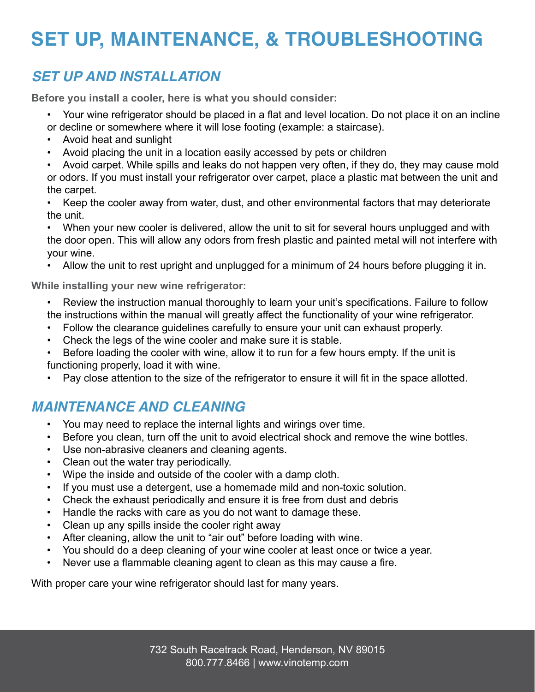# **SET UP, MAINTENANCE, & TROUBLESHOOTING**

### *SET UP AND INSTALLATION*

**Before you install a cooler, here is what you should consider:**

- Your wine refrigerator should be placed in a flat and level location. Do not place it on an incline or decline or somewhere where it will lose footing (example: a staircase).
- Avoid heat and sunlight
- Avoid placing the unit in a location easily accessed by pets or children
- Avoid carpet. While spills and leaks do not happen very often, if they do, they may cause mold or odors. If you must install your refrigerator over carpet, place a plastic mat between the unit and the carpet.
- Keep the cooler away from water, dust, and other environmental factors that may deteriorate the unit.

When your new cooler is delivered, allow the unit to sit for several hours unplugged and with the door open. This will allow any odors from fresh plastic and painted metal will not interfere with your wine.

• Allow the unit to rest upright and unplugged for a minimum of 24 hours before plugging it in.

**While installing your new wine refrigerator:**

- Review the instruction manual thoroughly to learn your unit's specifications. Failure to follow the instructions within the manual will greatly affect the functionality of your wine refrigerator.
- Follow the clearance guidelines carefully to ensure your unit can exhaust properly.
- Check the legs of the wine cooler and make sure it is stable.
- Before loading the cooler with wine, allow it to run for a few hours empty. If the unit is functioning properly, load it with wine.
- Pay close attention to the size of the refrigerator to ensure it will fit in the space allotted.

# *MAINTENANCE AND CLEANING*

- You may need to replace the internal lights and wirings over time.
- Before you clean, turn off the unit to avoid electrical shock and remove the wine bottles.
- Use non-abrasive cleaners and cleaning agents.
- Clean out the water tray periodically.
- Wipe the inside and outside of the cooler with a damp cloth.
- If you must use a detergent, use a homemade mild and non-toxic solution.
- Check the exhaust periodically and ensure it is free from dust and debris
- Handle the racks with care as you do not want to damage these.
- Clean up any spills inside the cooler right away
- After cleaning, allow the unit to "air out" before loading with wine.
- You should do a deep cleaning of your wine cooler at least once or twice a year.
- Never use a flammable cleaning agent to clean as this may cause a fire.

With proper care your wine refrigerator should last for many years.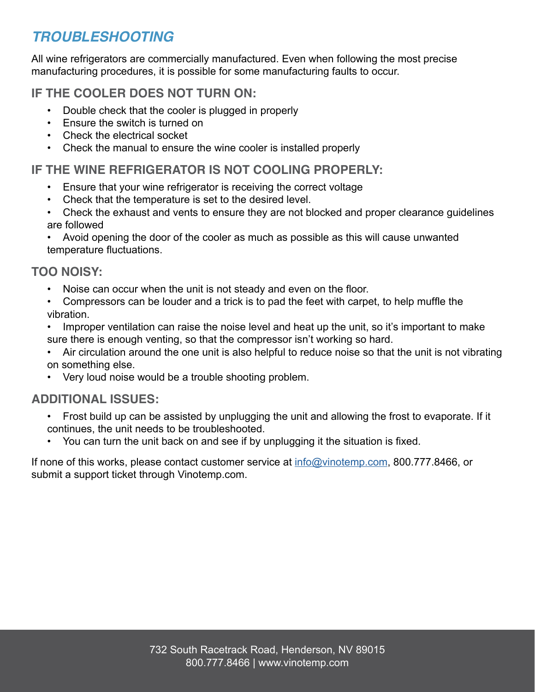# *TROUBLESHOOTING*

All wine refrigerators are commercially manufactured. Even when following the most precise manufacturing procedures, it is possible for some manufacturing faults to occur.

#### **IF THE COOLER DOES NOT TURN ON:**

- Double check that the cooler is plugged in properly
- Ensure the switch is turned on
- Check the electrical socket
- Check the manual to ensure the wine cooler is installed properly

#### **IF THE WINE REFRIGERATOR IS NOT COOLING PROPERLY:**

- Ensure that your wine refrigerator is receiving the correct voltage
- Check that the temperature is set to the desired level.
- Check the exhaust and vents to ensure they are not blocked and proper clearance guidelines are followed

• Avoid opening the door of the cooler as much as possible as this will cause unwanted temperature fluctuations.

#### **TOO NOISY:**

- Noise can occur when the unit is not steady and even on the floor.
- Compressors can be louder and a trick is to pad the feet with carpet, to help muffle the vibration.
- Improper ventilation can raise the noise level and heat up the unit, so it's important to make sure there is enough venting, so that the compressor isn't working so hard.
- Air circulation around the one unit is also helpful to reduce noise so that the unit is not vibrating on something else.
- Very loud noise would be a trouble shooting problem.

#### **ADDITIONAL ISSUES:**

- Frost build up can be assisted by unplugging the unit and allowing the frost to evaporate. If it continues, the unit needs to be troubleshooted.
- You can turn the unit back on and see if by unplugging it the situation is fixed.

If none of this works, please contact customer service at info@vinotemp.com, 800.777.8466, or submit a support ticket through Vinotemp.com.